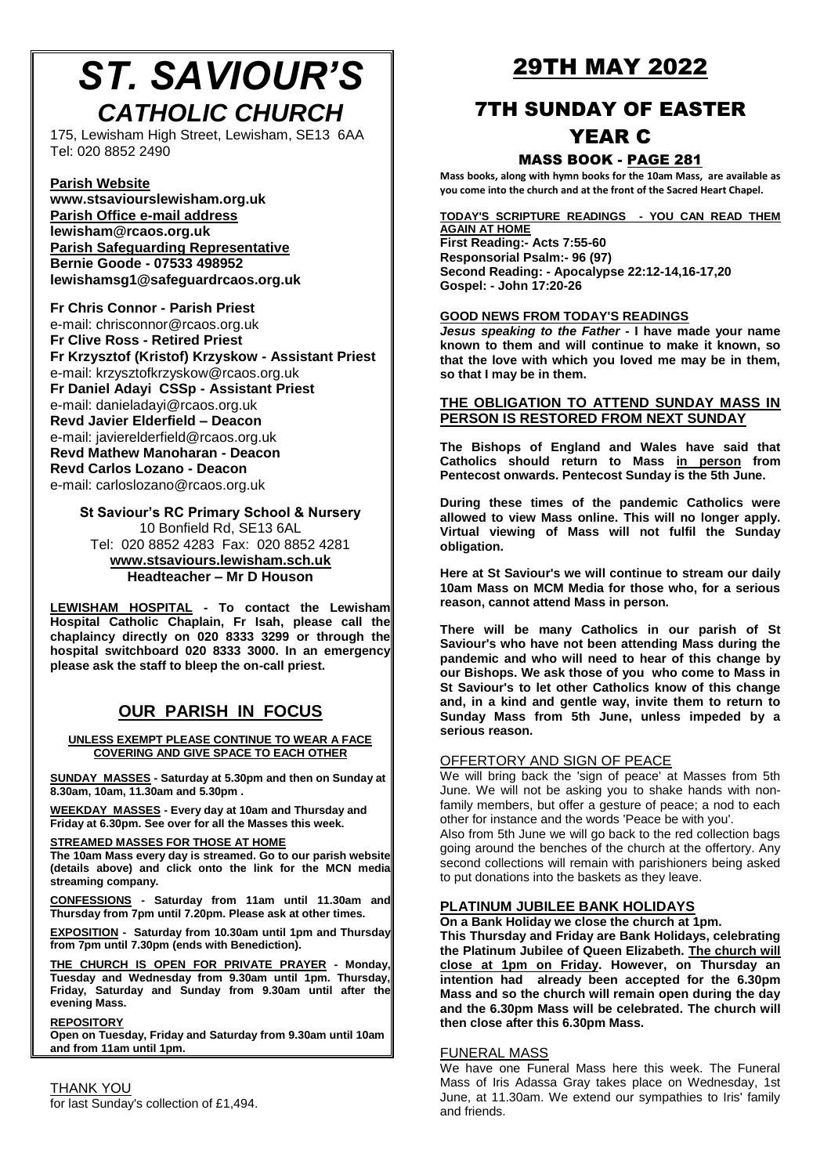# *ST. SAVIOUR'S CATHOLIC CHURCH*

175, Lewisham High Street, Lewisham, SE13 6AA Tel: 020 8852 2490

#### **Parish Website**

**[www.stsaviourslewisham.org.](http://www.stsaviourslewisham.org/)uk Parish Office e-mail address lewisham@rcaos.org.uk Parish Safeguarding Representative Bernie Goode - 07533 498952 lewishamsg1@safeguardrcaos.org.uk**

**Fr Chris Connor - Parish Priest** e-mail: chrisconnor@rcaos.org.uk **Fr Clive Ross - Retired Priest Fr Krzysztof (Kristof) Krzyskow - Assistant Priest** e-mail: krzysztofkrzyskow@rcaos.org.uk **Fr Daniel Adayi CSSp - Assistant Priest** e-mail: danieladayi@rcaos.org.uk **Revd Javier Elderfield – Deacon** e-mail: javierelderfield@rcaos.org.uk **Revd Mathew Manoharan - Deacon Revd Carlos Lozano - Deacon** e-mail: carloslozano@rcaos.org.uk

**St Saviour's RC Primary School & Nursery** 10 Bonfield Rd, SE13 6AL Tel: 020 8852 4283 Fax: 020 8852 4281 **[www.stsaviours.lewisham.sch.uk](http://www.stsaviours.lewisham.sch.uk/) Headteacher – Mr D Houson** 

**LEWISHAM HOSPITAL - To contact the Lewisham Hospital Catholic Chaplain, Fr Isah, please call the chaplaincy directly on 020 8333 3299 or through the hospital switchboard 020 8333 3000. In an emergency please ask the staff to bleep the on-call priest.** 

### **OUR PARISH IN FOCUS**

**UNLESS EXEMPT PLEASE CONTINUE TO WEAR A FACE COVERING AND GIVE SPACE TO EACH OTHER**

**SUNDAY MASSES - Saturday at 5.30pm and then on Sunday at 8.30am, 10am, 11.30am and 5.30pm .**

**WEEKDAY MASSES - Every day at 10am and Thursday and Friday at 6.30pm. See over for all the Masses this week.**

#### **STREAMED MASSES FOR THOSE AT HOME**

**The 10am Mass every day is streamed. Go to our parish website (details above) and click onto the link for the MCN media streaming company.**

**CONFESSIONS - Saturday from 11am until 11.30am and Thursday from 7pm until 7.20pm. Please ask at other times.**

**EXPOSITION - Saturday from 10.30am until 1pm and Thursday from 7pm until 7.30pm (ends with Benediction).**

**THE CHURCH IS OPEN FOR PRIVATE PRAYER - Monday, Tuesday and Wednesday from 9.30am until 1pm. Thursday, Friday, Saturday and Sunday from 9.30am until after the evening Mass.**

**REPOSITORY**

**Open on Tuesday, Friday and Saturday from 9.30am until 10am and from 11am until 1pm.**

#### THANK YOU for last Sunday's collection of £1,494.

## 29TH MAY 2022

## 7TH SUNDAY OF EASTER YEAR C

#### MASS BOOK - PAGE 281

**Mass books, along with hymn books for the 10am Mass, are available as you come into the church and at the front of the Sacred Heart Chapel.**

#### **TODAY'S SCRIPTURE READINGS - YOU CAN READ THEM**

**AGAIN AT HOME First Reading:- Acts 7:55-60 Responsorial Psalm:- 96 (97) Second Reading: - Apocalypse 22:12-14,16-17,20 Gospel: - John 17:20-26**

#### **GOOD NEWS FROM TODAY'S READINGS**

*Jesus speaking to the Father -* **I have made your name known to them and will continue to make it known, so that the love with which you loved me may be in them, so that I may be in them.**

#### **THE OBLIGATION TO ATTEND SUNDAY MASS IN PERSON IS RESTORED FROM NEXT SUNDAY**

**The Bishops of England and Wales have said that Catholics should return to Mass in person from Pentecost onwards. Pentecost Sunday is the 5th June.** 

**During these times of the pandemic Catholics were allowed to view Mass online. This will no longer apply. Virtual viewing of Mass will not fulfil the Sunday obligation.**

**Here at St Saviour's we will continue to stream our daily 10am Mass on MCM Media for those who, for a serious reason, cannot attend Mass in person.**

**There will be many Catholics in our parish of St Saviour's who have not been attending Mass during the pandemic and who will need to hear of this change by our Bishops. We ask those of you who come to Mass in St Saviour's to let other Catholics know of this change and, in a kind and gentle way, invite them to return to Sunday Mass from 5th June, unless impeded by a serious reason.**

#### OFFERTORY AND SIGN OF PEACE

We will bring back the 'sign of peace' at Masses from 5th June. We will not be asking you to shake hands with nonfamily members, but offer a gesture of peace; a nod to each other for instance and the words 'Peace be with you'.

Also from 5th June we will go back to the red collection bags going around the benches of the church at the offertory. Any second collections will remain with parishioners being asked to put donations into the baskets as they leave.

#### **PLATINUM JUBILEE BANK HOLIDAYS**

**On a Bank Holiday we close the church at 1pm.**

**This Thursday and Friday are Bank Holidays, celebrating the Platinum Jubilee of Queen Elizabeth. The church will close at 1pm on Friday. However, on Thursday an intention had already been accepted for the 6.30pm Mass and so the church will remain open during the day and the 6.30pm Mass will be celebrated. The church will then close after this 6.30pm Mass.**

#### FUNERAL MASS

We have one Funeral Mass here this week. The Funeral Mass of Iris Adassa Gray takes place on Wednesday, 1st June, at 11.30am. We extend our sympathies to Iris' family and friends.